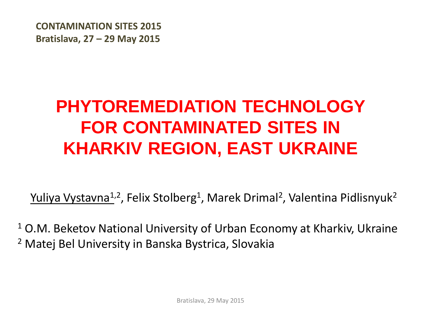**CONTAMINATION SITES 2015 Bratislava, 27 – 29 May 2015**

# **PHYTOREMEDIATION TECHNOLOGY FOR CONTAMINATED SITES IN KHARKIV REGION, EAST UKRAINE**

Yuliya Vystavna<sup>1,2</sup>, Felix Stolberg<sup>1</sup>, Marek Drimal<sup>2</sup>, Valentina Pidlisnyuk<sup>2</sup>

<sup>1</sup> O.M. Beketov National University of Urban Economy at Kharkiv, Ukraine <sup>2</sup> Matej Bel University in Banska Bystrica, Slovakia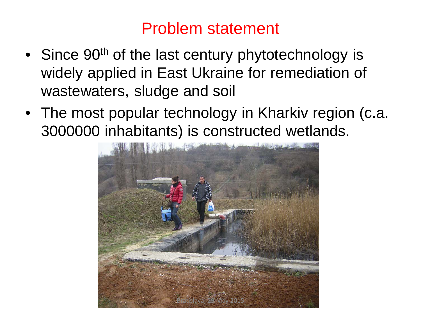### Problem statement

- Since 90<sup>th</sup> of the last century phytotechnology is widely applied in East Ukraine for remediation of wastewaters, sludge and soil
- The most popular technology in Kharkiv region (c.a. 3000000 inhabitants) is constructed wetlands.

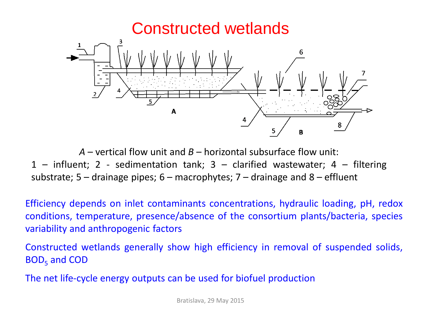

*A* – vertical flow unit and *B –* horizontal subsurface flow unit: 1 – influent; 2 - sedimentation tank; 3 – clarified wastewater; 4 – filtering substrate;  $5 -$  drainage pipes;  $6 -$  macrophytes;  $7 -$  drainage and  $8 -$  effluent

Efficiency depends on inlet contaminants concentrations, hydraulic loading, pH, redox conditions, temperature, presence/absence of the consortium plants/bacteria, species variability and anthropogenic factors

Constructed wetlands generally show high efficiency in removal of suspended solids,  $BOD<sub>5</sub>$  and COD

The net life-cycle energy outputs can be used for biofuel production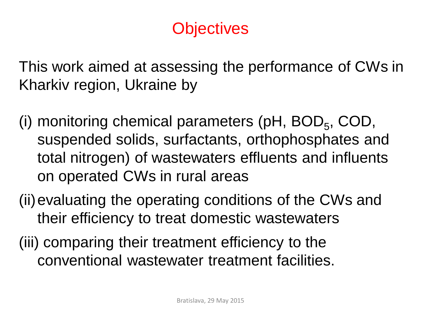# **Objectives**

This work aimed at assessing the performance of CWs in Kharkiv region, Ukraine by

- (i) monitoring chemical parameters ( $pH$ , BOD<sub>5</sub>, COD, suspended solids, surfactants, orthophosphates and total nitrogen) of wastewaters effluents and influents on operated CWs in rural areas
- (ii)evaluating the operating conditions of the CWs and their efficiency to treat domestic wastewaters
- (iii) comparing their treatment efficiency to the conventional wastewater treatment facilities.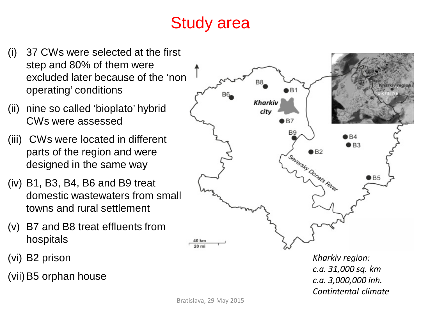# Study area

- (i) 37 CWs were selected at the first step and 80% of them were excluded later because of the 'non operating' conditions
- (ii) nine so called 'bioplato' hybrid CWs were assessed
- (iii) CWs were located in different parts of the region and were designed in the same way
- (iv) B1, B3, B4, B6 and B9 treat domestic wastewaters from small towns and rural settlement
- (v) B7 and B8 treat effluents from hospitals
- (vi) B2 prison
- (vii)B5 orphan house



*Kharkiv region: c.a. 31,000 sq. km c.a. 3,000,000 inh. Contintental climate*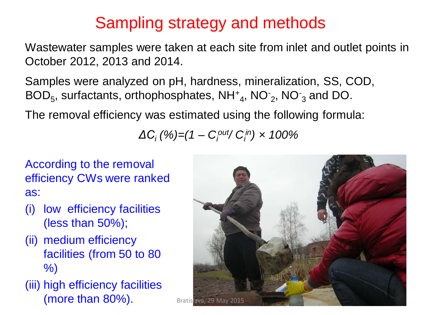# Sampling strategy and methods

Wastewater samples were taken at each site from inlet and outlet points in October 2012, 2013 and 2014.

Samples were analyzed on pH, hardness, mineralization, SS, COD,  $BOD_5$ , surfactants, orthophosphates,  $NH^+_{4}$ ,  $NO^-_2$ ,  $NO^-_3$  and DO.

The removal efficiency was estimated using the following formula:

*ΔC<sup>i</sup> (%)=(1 – Ci out/ Ci in)* × *100%* 

According to the removal efficiency CWs were ranked as:

- (i) low efficiency facilities (less than 50%);
- (ii) medium efficiency facilities (from 50 to 80 %)
- (iii) high efficiency facilities  $(more than 80\%)$ . Bratislava, 29 May 2015

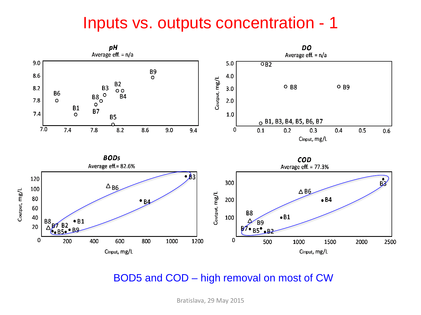#### Inputs vs. outputs concentration - 1



#### BOD5 and COD – high removal on most of CW

Bratislava, 29 May 2015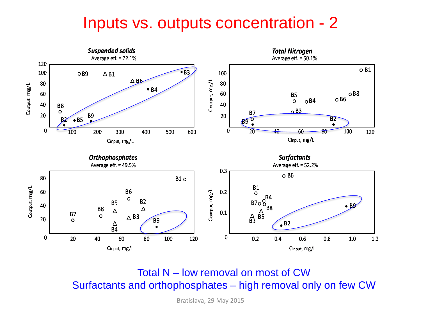### Inputs vs. outputs concentration - 2



Total N – low removal on most of CW Surfactants and orthophosphates – high removal only on few CW

Bratislava, 29 May 2015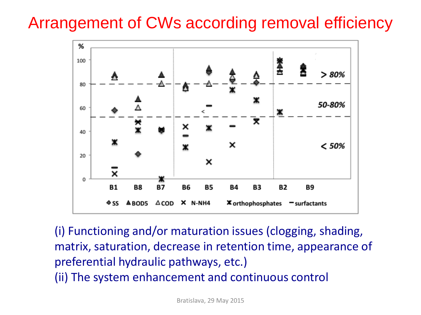# Arrangement of CWs according removal efficiency



(i) Functioning and/or maturation issues (clogging, shading, matrix, saturation, decrease in retention time, appearance of preferential hydraulic pathways, etc.) (ii) The system enhancement and continuous control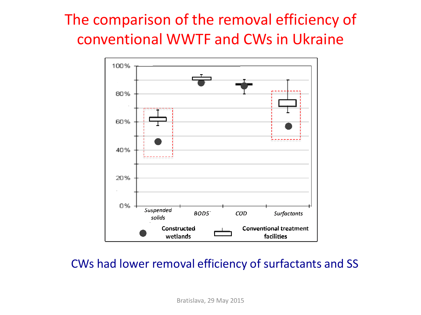# The comparison of the removal efficiency of conventional WWTF and CWs in Ukraine



#### CWs had lower removal efficiency of surfactants and SS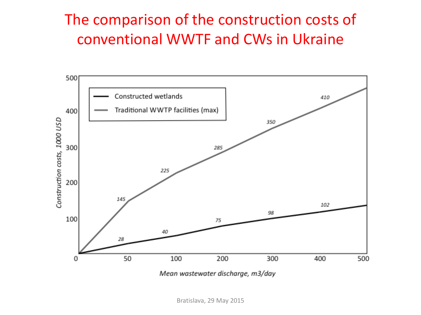## The comparison of the construction costs of conventional WWTF and CWs in Ukraine



Mean wastewater discharge, m3/day

Bratislava, 29 May 2015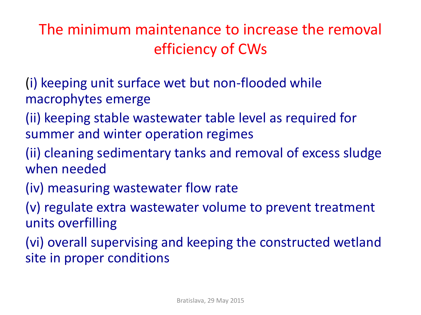The minimum maintenance to increase the removal efficiency of CWs

- (i) keeping unit surface wet but non-flooded while macrophytes emerge
- (ii) keeping stable wastewater table level as required for summer and winter operation regimes
- (ii) cleaning sedimentary tanks and removal of excess sludge when needed
- (iv) measuring wastewater flow rate
- (v) regulate extra wastewater volume to prevent treatment units overfilling
- (vi) overall supervising and keeping the constructed wetland site in proper conditions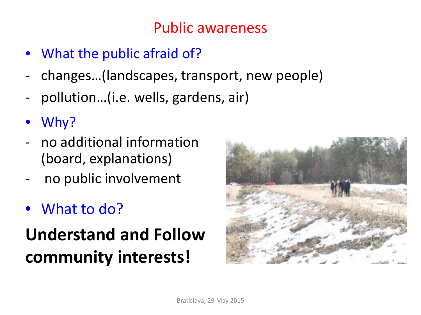### Public awareness

- What the public afraid of?
- changes…(landscapes, transport, new people)
- pollution...(i.e. wells, gardens, air)
- Why?
- no additional information (board, explanations)
- no public involvement
- What to do?

# **Understand and Follow community interests!**

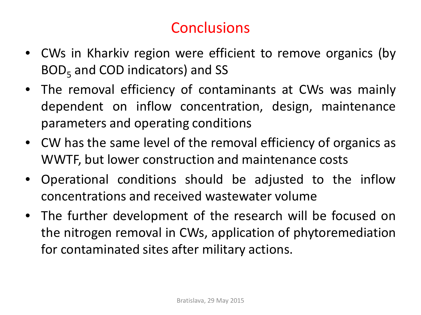# **Conclusions**

- CWs in Kharkiv region were efficient to remove organics (by  $BOD<sub>5</sub>$  and COD indicators) and SS
- The removal efficiency of contaminants at CWs was mainly dependent on inflow concentration, design, maintenance parameters and operating conditions
- CW has the same level of the removal efficiency of organics as WWTF, but lower construction and maintenance costs
- Operational conditions should be adjusted to the inflow concentrations and received wastewater volume
- The further development of the research will be focused on the nitrogen removal in CWs, application of phytoremediation for contaminated sites after military actions.